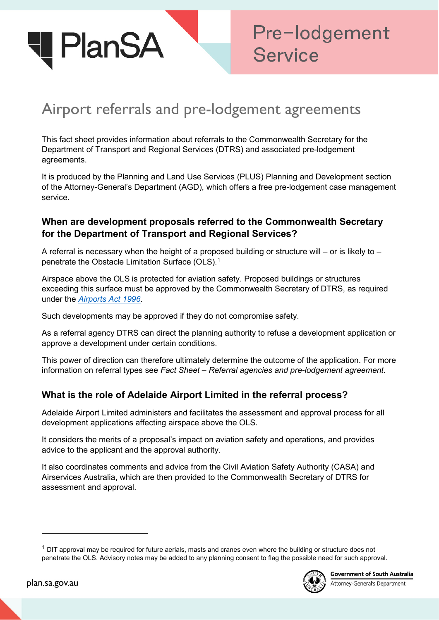

# Airport referrals and pre-lodgement agreements

This fact sheet provides information about referrals to the Commonwealth Secretary for the Department of Transport and Regional Services (DTRS) and associated pre-lodgement agreements.

It is produced by the Planning and Land Use Services (PLUS) Planning and Development section of the Attorney-General's Department (AGD), which offers a free pre-lodgement case management service.

## **When are development proposals referred to the Commonwealth Secretary for the Department of Transport and Regional Services?**

A referral is necessary when the height of a proposed building or structure will – or is likely to – penetrate the Obstacle Limitation Surface (OLS).<sup>[1](#page-0-0)</sup>

Airspace above the OLS is protected for aviation safety. Proposed buildings or structures exceeding this surface must be approved by the Commonwealth Secretary of DTRS, as required under the *[Airports Act 1996](https://www.legislation.gov.au/Details/C2011C00002)*.

Such developments may be approved if they do not compromise safety.

As a referral agency DTRS can direct the planning authority to refuse a development application or approve a development under certain conditions.

This power of direction can therefore ultimately determine the outcome of the application. For more information on referral types see *Fact Sheet* – *Referral agencies and pre-lodgement agreement.*

### **What is the role of Adelaide Airport Limited in the referral process?**

Adelaide Airport Limited administers and facilitates the assessment and approval process for all development applications affecting airspace above the OLS.

It considers the merits of a proposal's impact on aviation safety and operations, and provides advice to the applicant and the approval authority.

It also coordinates comments and advice from the Civil Aviation Safety Authority (CASA) and Airservices Australia, which are then provided to the Commonwealth Secretary of DTRS for assessment and approval.

<span id="page-0-0"></span> $1$  DIT approval may be required for future aerials, masts and cranes even where the building or structure does not penetrate the OLS. Advisory notes may be added to any planning consent to flag the possible need for such approval.



**Government of South Australia** 

Attorney-General's Department

-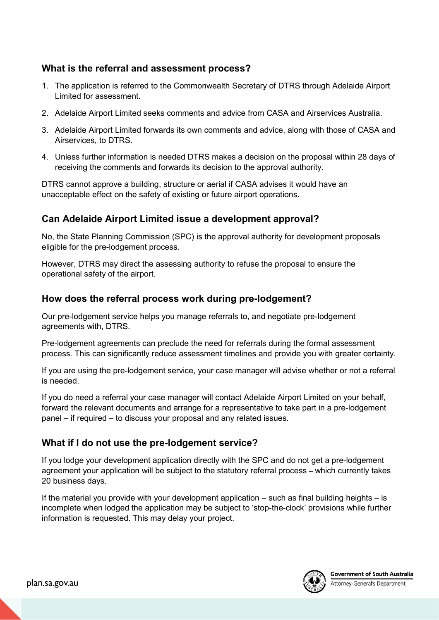## **What is the referral and assessment process?**

- 1. The application is referred to the Commonwealth Secretary of DTRS through Adelaide Airport Limited for assessment.
- 2. Adelaide Airport Limited seeks comments and advice from CASA and Airservices Australia.
- 3. Adelaide Airport Limited forwards its own comments and advice, along with those of CASA and Airservices, to DTRS.
- 4. Unless further information is needed DTRS makes a decision on the proposal within 28 days of receiving the comments and forwards its decision to the approval authority.

DTRS cannot approve a building, structure or aerial if CASA advises it would have an unacceptable effect on the safety of existing or future airport operations.

## **Can Adelaide Airport Limited issue a development approval?**

No, the State Planning Commission (SPC) is the approval authority for development proposals eligible for the pre-lodgement process.

However, DTRS may direct the assessing authority to refuse the proposal to ensure the operational safety of the airport.

### **How does the referral process work during pre-lodgement?**

Our pre-lodgement service helps you manage referrals to, and negotiate pre-lodgement agreements with, DTRS.

Pre-lodgement agreements can preclude the need for referrals during the formal assessment process. This can significantly reduce assessment timelines and provide you with greater certainty.

If you are using the pre-lodgement service, your case manager will advise whether or not a referral is needed.

If you do need a referral your case manager will contact Adelaide Airport Limited on your behalf, forward the relevant documents and arrange for a representative to take part in a pre-lodgement panel – if required – to discuss your proposal and any related issues.

# **What if I do not use the pre-lodgement service?**

If you lodge your development application directly with the SPC and do not get a pre-lodgement agreement your application will be subject to the statutory referral process – which currently takes 20 business days.

If the material you provide with your development application – such as final building heights – is incomplete when lodged the application may be subject to 'stop-the-clock' provisions while further information is requested. This may delay your project.

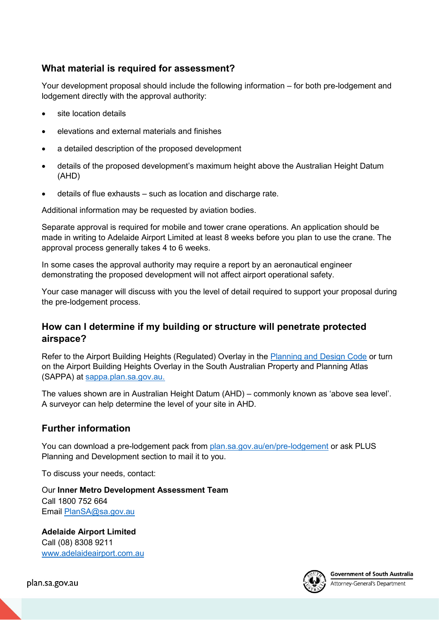# **What material is required for assessment?**

Your development proposal should include the following information – for both pre-lodgement and lodgement directly with the approval authority:

- site location details
- elevations and external materials and finishes
- a detailed description of the proposed development
- details of the proposed development's maximum height above the Australian Height Datum (AHD)
- details of flue exhausts such as location and discharge rate.

Additional information may be requested by aviation bodies.

Separate approval is required for mobile and tower crane operations. An application should be made in writing to Adelaide Airport Limited at least 8 weeks before you plan to use the crane. The approval process generally takes 4 to 6 weeks.

In some cases the approval authority may require a report by an aeronautical engineer demonstrating the proposed development will not affect airport operational safety.

Your case manager will discuss with you the level of detail required to support your proposal during the pre-lodgement process.

# **How can I determine if my building or structure will penetrate protected airspace?**

Refer to the Airport Building Heights (Regulated) Overlay in the **Planning and Design Code or turn** on the Airport Building Heights Overlay in the South Australian Property and Planning Atlas (SAPPA) at [sappa.plan.sa.gov.au.](https://sappa.plan.sa.gov.au/)

The values shown are in Australian Height Datum (AHD) – commonly known as 'above sea level'. A surveyor can help determine the level of your site in AHD.

# **Further information**

You can download a pre-lodgement pack from [plan.sa.gov.au/en/pre-lodgement](http://plan.sa.gov.au/en/pre-lodgement) or ask PLUS Planning and Development section to mail it to you.

To discuss your needs, contact:

Our **Inner Metro Development Assessment Team** Call 1800 752 664 Email [PlanSA@sa.gov.au](mailto:PlanSA@sa.gov.au)

**Adelaide Airport Limited** Call (08) 8308 9211 [www.adelaideairport.com.au](http://www.adelaideairport.com.au/)



Attorney-General's Department

plan.sa.gov.au